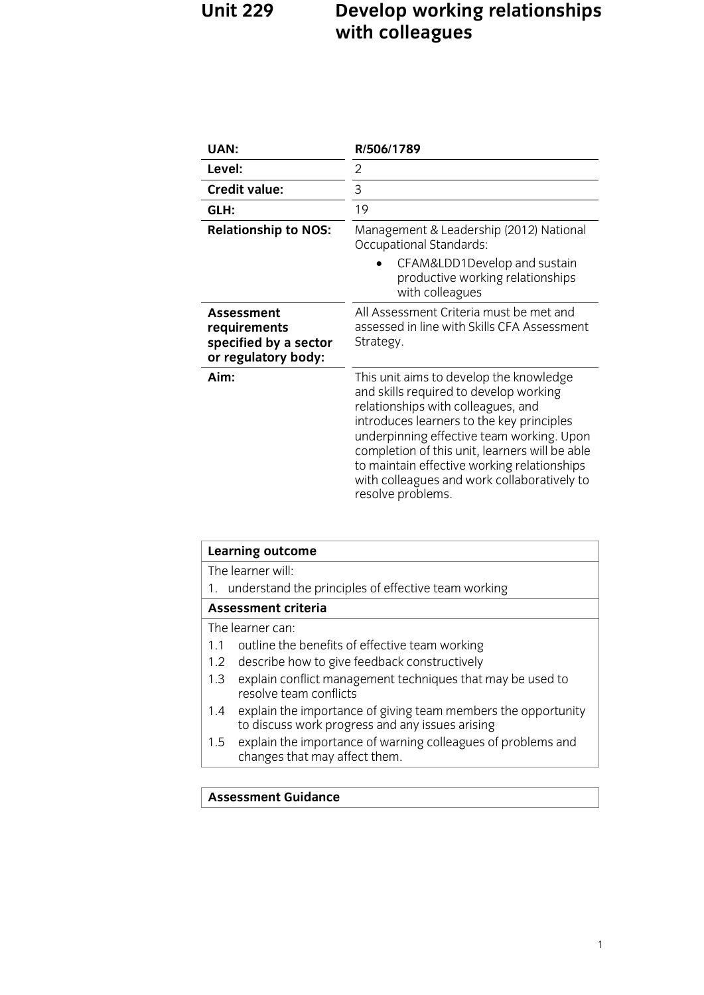## **Unit 229 Development Relationships <b>Property Property Property Property Property Property Property Property Property Property Property Property Property Property Property Property Propert with colleagues**

| <b>UAN:</b>                                                                       | R/506/1789                                                                                                                                                                                                                                                                                                                                                                             |
|-----------------------------------------------------------------------------------|----------------------------------------------------------------------------------------------------------------------------------------------------------------------------------------------------------------------------------------------------------------------------------------------------------------------------------------------------------------------------------------|
| Level:                                                                            | 2                                                                                                                                                                                                                                                                                                                                                                                      |
| <b>Credit value:</b>                                                              | 3                                                                                                                                                                                                                                                                                                                                                                                      |
| GLH:                                                                              | 19                                                                                                                                                                                                                                                                                                                                                                                     |
| <b>Relationship to NOS:</b>                                                       | Management & Leadership (2012) National<br><b>Occupational Standards:</b>                                                                                                                                                                                                                                                                                                              |
|                                                                                   | CFAM&LDD1Develop and sustain<br>productive working relationships<br>with colleagues                                                                                                                                                                                                                                                                                                    |
| <b>Assessment</b><br>requirements<br>specified by a sector<br>or regulatory body: | All Assessment Criteria must be met and<br>assessed in line with Skills CFA Assessment<br>Strategy.                                                                                                                                                                                                                                                                                    |
| Aim:                                                                              | This unit aims to develop the knowledge<br>and skills required to develop working<br>relationships with colleagues, and<br>introduces learners to the key principles<br>underpinning effective team working. Upon<br>completion of this unit, learners will be able<br>to maintain effective working relationships<br>with colleagues and work collaboratively to<br>resolve problems. |

| Learning outcome                                                                                                        |  |
|-------------------------------------------------------------------------------------------------------------------------|--|
| The learner will:                                                                                                       |  |
| understand the principles of effective team working<br>1.                                                               |  |
| <b>Assessment criteria</b>                                                                                              |  |
| The learner can:                                                                                                        |  |
| outline the benefits of effective team working<br>11                                                                    |  |
| describe how to give feedback constructively<br>$1.2^{\circ}$                                                           |  |
| explain conflict management techniques that may be used to<br>1.3<br>resolve team conflicts                             |  |
| explain the importance of giving team members the opportunity<br>1.4<br>to discuss work progress and any issues arising |  |
| explain the importance of warning colleagues of problems and<br>1.5<br>changes that may affect them.                    |  |
|                                                                                                                         |  |

### **Assessment Guidance**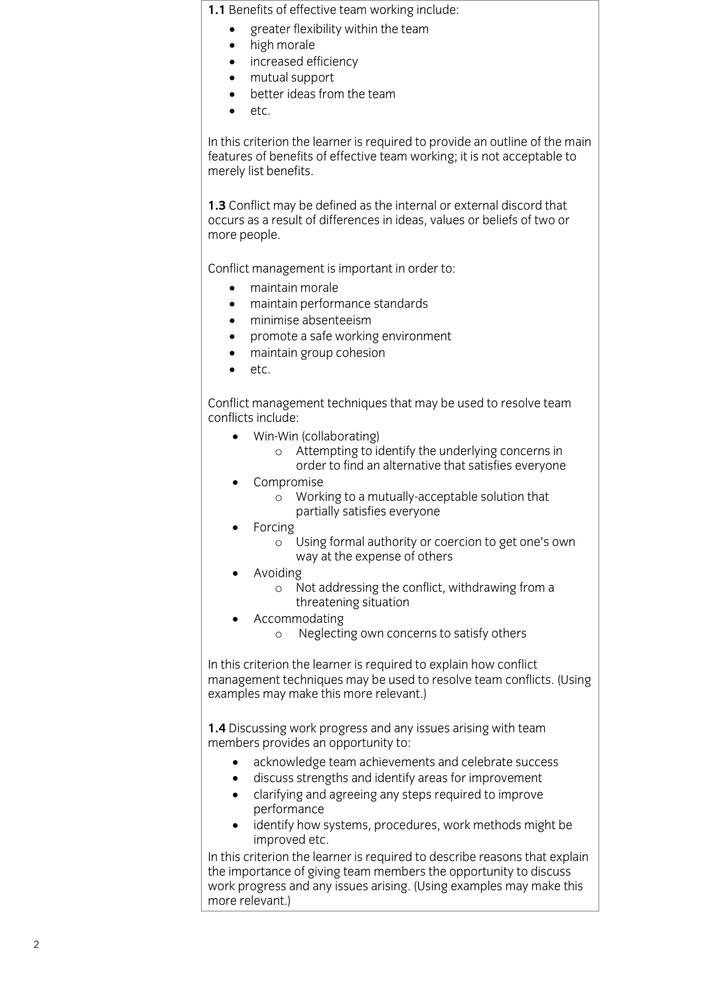- greater flexibility within the team<br>• high morale
	- high morale<br>• increased ef
	- increased efficiency<br>• mutual support
	- mutual support
	- $\bullet$  better ideas from the team<br> $\bullet$  etc
	- etc.

In this criterion the learner is required to provide an outline of the main features of benefits of effective team working; it is not acceptable to merely list benefits. merely list benefits.

**1.3** Conflict may be defined as the internal or external discord that occurs as a result of differences in ideas, values or beliefs of two or more people. more people.

Conflict management is important in order to:

- 
- e maintain morale<br>
e maintain nerformance standards • maintain performance standards<br>• minimise absenteeism
	- minimise absenteeism<br>• promote a safe workin
	- promote a safe working environment
	- maintain group cohesion
	- etc.

Conflict management techniques that may be used to resolve team

- Win-Win (collaborating)<br>Confitempting to i
	- <sup>o</sup> Attempting to identify the underlying concerns in  $\omega$ order to find an alternative that satisfies everyone that satisfies  $\omega$
	- Compromise
		- <sup>o</sup> Working to a mutually-acceptable solution that partially satisfies everyone
	- Forcing
		- Using formal authority or coercion to get one's own<br>way at the expense of others  $\sigma$
	- Avoiding
		- <sup>o</sup> Not addressing the conflict, withdrawing from a
		-
		- Accommodating<br>  $\overline{a}$  Neglecting own come <sup>o</sup> Neglecting own concerns to satisfy others

In this criterion the learner is required to explain how conflict<br>management techniques may be used to resolve team conflicts. (Using examples may make this more relevant.) examples may make this more relevant.)

**1.4** Discussing work progress and any issues arising with team members provides an opportunity to:

- acknowledge team achievements and celebrate success<br>• discuss strengths and identify areas for improvement
	- discuss strengths and identify areas for improvement
	- clarifying and agreeing any steps required to improve
	- identify how systems, procedures, work methods might be improved etc

improved etc.<br>In this criterion the learner is required to describe reasons that explain the importance of giving team members the opportunity to discuss work progress and any issues arising. (Using examples may make this more relevant.) more relevant.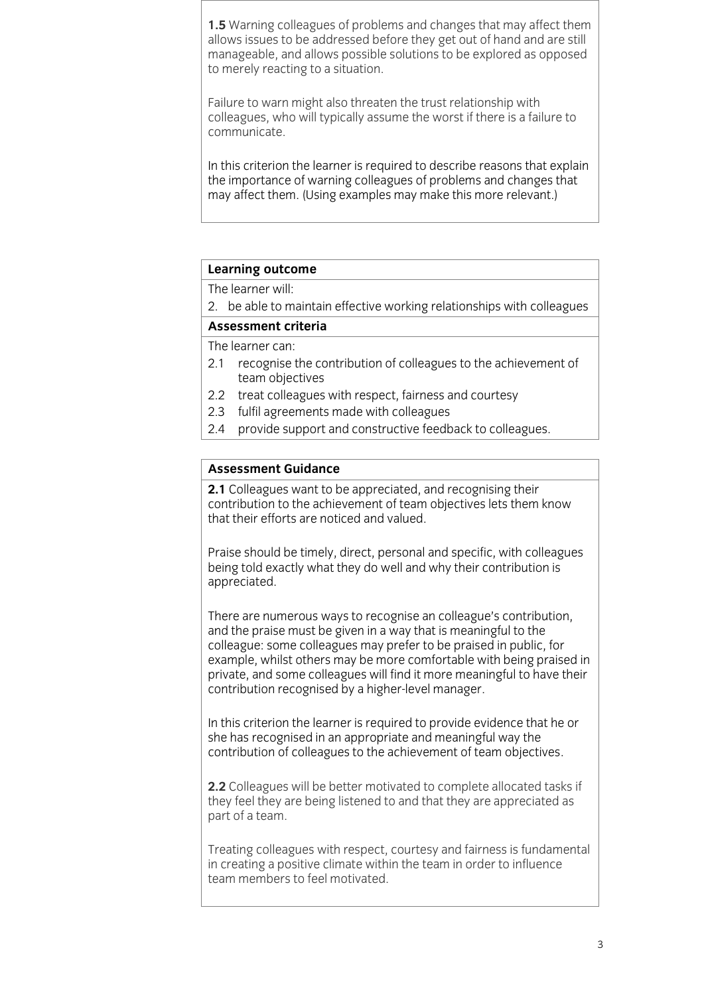1.5 Warning colleagues of problems and changes that may affect them allows issues to be addressed before they get out of hand and are still manageable, and allows possible solutions to be explored as opposed to merely reacting to a situation.  $\mathbf{r}$  reaction.

Failure to warn might also threaten the trust relationship with colleagues, who will typically assume the worst if there is a failure to communicate.

In this criterion the learner is required to describe reasons that explain the importance of warning colleagues of problems and changes that may affect them. (Using examples may make this more relevant.) may affect them. (Using examples may make this more relevant.)

# **Learning outcome**<br>The learner will:

2. be able to maintain effective working relationships with colleagues

### Assessment criteria

The learner can:

- 2.1 recognise the contribution of colleagues to the achievement of team objectives
- 2.2 treat colleagues with respect, fairness and courtesy
- 2.3 fulfil agreements made with colleagues
- 2.4 provide support and constructive feedback to colleagues.  $\overline{a}$  provide support and constructive feedback to colleagues.

#### **Assessment Guidance**

**2.1** Colleagues want to be appreciated, and recognising their  $2.2$  contribution to the achievement of team objectives lets them know that their efforts are noticed and valued.

Praise should be timely, direct, personal and specific, with colleagues being told exactly what they do well and why their contribution is appreciated. appreciated.

There are numerous ways to recognise an colleague's contribution, and the praise must be given in a way that is meaningful to the colleague: some colleagues may prefer to be praised in public, for example, whilst others may be more comfortable with being praised in private, and some colleagues will find it more meaningful to have their contribution recognised by a higher-level manager. contribution recognised by a higher-level manager.

In this criterion the learner is required to provide evidence that he or she has recognised in an appropriate and meaningful way the  $\frac{1}{2}$  contribution of colleagues to the achievement of team objective contribution of collection of the action of team objectives.

**2.2** Colleagues will be better motivated to complete allocated tasks if they feel they are being listened to and that they are appreciated as part of a team. part of a team.

Treating colleagues with respect, courtesy and fairness is fundamental in creating a positive climate within the team in order to influence team members to feel motivated. team members to feel motivated.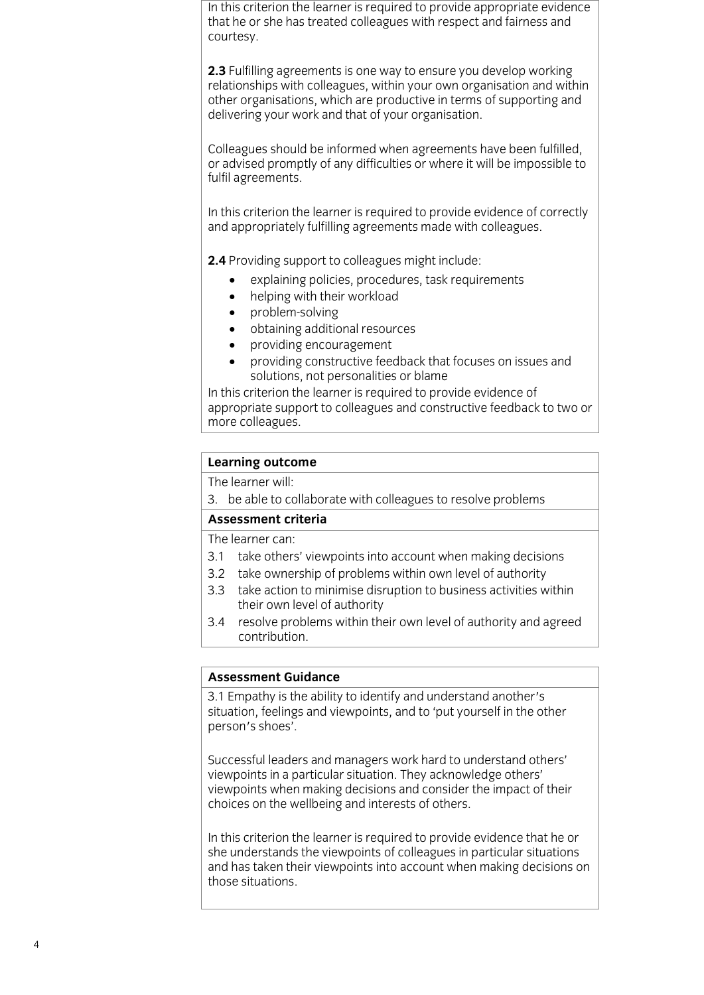In this criterion the learner is required to provide appropriate evidence that he or she has treated colleagues with respect and fairness and courtes v. courtesy.

**2.3** Fulfilling agreements is one way to ensure you develop working relationships with colleagues, within your own organisation and within other organisations, which are productive in terms of supporting and delivering your work and that of your organisation. delivering your work and that of your organisation.

Colleagues should be informed when agreements have been fulfilled, or advised promptly of any difficulties or where it will be impossible to fulfil agreements. fulfil agreements.

In this criterion the learner is required to provide evidence of correctly and appropriately fulfilling agreements made with colleagues. and appropriately fulfilling agreements made with colleagues.

2.4 Providing support to colleagues might include:

- **2.4** Providing policies, procedures, task requirements<br> **Explaining with their workload** 
	- helping with their workload<br>• problem-solving
	- problem-solving
	- obtaining additional resources
	- providing encouragement
	- providing constructive feedback that focuses on issues and

In this criterion the learner is required to provide evidence of appropriate support to colleagues and constructive feedback to two or more colleagues. <u>o</u>

## **Learning outcome**<br>The learner will:

3. be able to collaborate with colleagues to resolve problems

#### Assessment criteria

The learner can:

- 3.1 take others' viewpoints into account when making decisions
- 3.2 take ownership of problems within own level of authority
- 3.3 take action to minimise disruption to business activities within their own level of authority
- $3.4$ resolve problems within their own level of authority and agreed contribution. <u>contribution.</u>

#### **Assessment Guidance**

**As a Francish Assessment Countries and Separate Contracts Assessment Contracts** situation, feelings and viewpoints, and to 'put yourself in the other' person's shoes'.

Successful leaders and managers work hard to understand others' viewpoints in a particular situation. They acknowledge others' viewpoints when making decisions and consider the impact of their choices on the wellbeing and interests of others choices on the well-being and interests of others.

In this criterion the learner is required to provide evidence that he or she understands the viewpoints of colleagues in particular situations and has taken their viewpoints into account when making decisions on those situations. those situations.